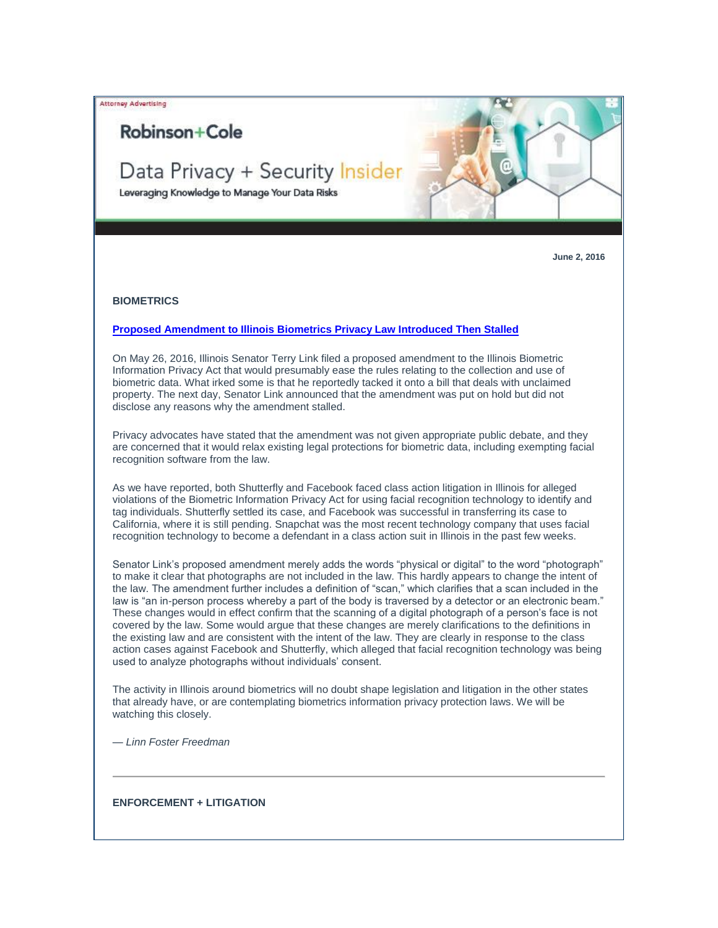Attorney Advertising

# Robinson+Cole

# Data Privacy + Security Insider

Leveraging Knowledge to Manage Your Data Risks

**June 2, 2016**

## **BIOMETRICS**

# **[Proposed Amendment to Illinois Biometrics Privacy Law Introduced Then Stalled](http://t2806904.omkt.co/track.aspx?id=402|2AD478|6F10|54A3|114A|0|1F96|1|38E8CEF9&destination=https%3a%2f%2fwww.dataprivacyandsecurityinsider.com%2f2016%2f06%2fproposed-amendment-to-illinois-biometrics-privacy-law-introduced-then-stalled%2f&dchk=2142FAE)**

On May 26, 2016, Illinois Senator Terry Link filed a proposed amendment to the Illinois Biometric Information Privacy Act that would presumably ease the rules relating to the collection and use of biometric data. What irked some is that he reportedly tacked it onto a bill that deals with unclaimed property. The next day, Senator Link announced that the amendment was put on hold but did not disclose any reasons why the amendment stalled.

Privacy advocates have stated that the amendment was not given appropriate public debate, and they are concerned that it would relax existing legal protections for biometric data, including exempting facial recognition software from the law.

As we have reported, both Shutterfly and Facebook faced class action litigation in Illinois for alleged violations of the Biometric Information Privacy Act for using facial recognition technology to identify and tag individuals. Shutterfly settled its case, and Facebook was successful in transferring its case to California, where it is still pending. Snapchat was the most recent technology company that uses facial recognition technology to become a defendant in a class action suit in Illinois in the past few weeks.

Senator Link's proposed amendment merely adds the words "physical or digital" to the word "photograph" to make it clear that photographs are not included in the law. This hardly appears to change the intent of the law. The amendment further includes a definition of "scan," which clarifies that a scan included in the law is "an in-person process whereby a part of the body is traversed by a detector or an electronic beam." These changes would in effect confirm that the scanning of a digital photograph of a person's face is not covered by the law. Some would argue that these changes are merely clarifications to the definitions in the existing law and are consistent with the intent of the law. They are clearly in response to the class action cases against Facebook and Shutterfly, which alleged that facial recognition technology was being used to analyze photographs without individuals' consent.

The activity in Illinois around biometrics will no doubt shape legislation and litigation in the other states that already have, or are contemplating biometrics information privacy protection laws. We will be watching this closely.

*— Linn Foster Freedman*

# **ENFORCEMENT + LITIGATION**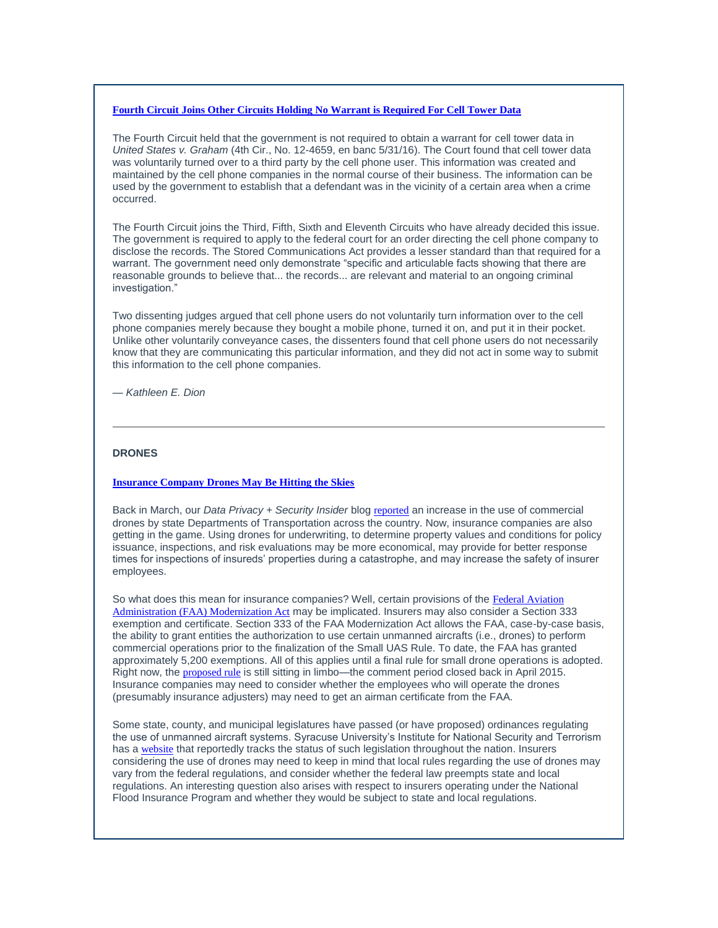# **[Fourth Circuit Joins Other Circuits Holding No Warrant is Required For Cell Tower Data](http://t2806904.omkt.co/track.aspx?id=402|2AD478|6F10|54A3|114A|0|1F97|1|38E8CEF9&destination=https%3a%2f%2fwww.dataprivacyandsecurityinsider.com%2f2016%2f06%2ffourth-circuit-joins-other-circuits-holding-no-warrant-is-required-for-cell-tower-data%2f&dchk=2F139A6F)**

The Fourth Circuit held that the government is not required to obtain a warrant for cell tower data in *United States v. Graham* (4th Cir., No. 12-4659, en banc 5/31/16). The Court found that cell tower data was voluntarily turned over to a third party by the cell phone user. This information was created and maintained by the cell phone companies in the normal course of their business. The information can be used by the government to establish that a defendant was in the vicinity of a certain area when a crime occurred.

The Fourth Circuit joins the Third, Fifth, Sixth and Eleventh Circuits who have already decided this issue. The government is required to apply to the federal court for an order directing the cell phone company to disclose the records. The Stored Communications Act provides a lesser standard than that required for a warrant. The government need only demonstrate "specific and articulable facts showing that there are reasonable grounds to believe that... the records... are relevant and material to an ongoing criminal investigation."

Two dissenting judges argued that cell phone users do not voluntarily turn information over to the cell phone companies merely because they bought a mobile phone, turned it on, and put it in their pocket. Unlike other voluntarily conveyance cases, the dissenters found that cell phone users do not necessarily know that they are communicating this particular information, and they did not act in some way to submit this information to the cell phone companies.

*— Kathleen E. Dion*

# **DRONES**

#### **[Insurance Company Drones May Be Hitting the Skies](http://t2806904.omkt.co/track.aspx?id=402|2AD478|6F10|54A3|114A|0|1F98|1|38E8CEF9&destination=https%3a%2f%2fwww.dataprivacyandsecurityinsider.com%2f2016%2f05%2finsurance-company-drones-may-be-hitting-the-skies%2f&dchk=65FC3DFA)**

Back in March, our *Data Privacy + Security Insider* blog [reported](http://t2806904.omkt.co/track.aspx?id=402|2AD478|6F10|54A3|114A|0|1F99|1|38E8CEF9&destination=https%3a%2f%2fwww.dataprivacyandsecurityinsider.com%2f2016%2f03%2fdrones-increasingly-used-by-state-departments-of-transportation-across-the-country%2f&dchk=32204D49) an increase in the use of commercial drones by state Departments of Transportation across the country. Now, insurance companies are also getting in the game. Using drones for underwriting, to determine property values and conditions for policy issuance, inspections, and risk evaluations may be more economical, may provide for better response times for inspections of insureds' properties during a catastrophe, and may increase the safety of insurer employees.

So what does this mean for insurance companies? Well, certain provisions of the Federal Aviation [Administration \(FAA\) Modernization Act](http://t2806904.omkt.co/track.aspx?id=402|2AD478|6F10|54A3|114A|0|1F9A|1|38E8CEF9&destination=https%3a%2f%2fwww.faa.gov%2fuas%2fmedia%2fSec_331_336_UAS.pdf&dchk=6E52D82) may be implicated. Insurers may also consider a Section 333 exemption and certificate. Section 333 of the FAA Modernization Act allows the FAA, case-by-case basis, the ability to grant entities the authorization to use certain unmanned aircrafts (i.e., drones) to perform commercial operations prior to the finalization of the Small UAS Rule. To date, the FAA has granted approximately 5,200 exemptions. All of this applies until a final rule for small drone operations is adopted. Right now, the [proposed rule](http://t2806904.omkt.co/track.aspx?id=402|2AD478|6F10|54A3|114A|0|1F9B|1|38E8CEF9&destination=https%3a%2f%2fwww.faa.gov%2fregulations_policies%2frulemaking%2frecently_published%2fmedia%2f2120-AJ60_NPRM_2-15-2015_joint_signature.pdf&dchk=5DCA7F39) is still sitting in limbo—the comment period closed back in April 2015. Insurance companies may need to consider whether the employees who will operate the drones (presumably insurance adjusters) may need to get an airman certificate from the FAA.

Some state, county, and municipal legislatures have passed (or have proposed) ordinances regulating the use of unmanned aircraft systems. Syracuse University's Institute for National Security and Terrorism has a [website](http://t2806904.omkt.co/track.aspx?id=402|2AD478|6F10|54A3|114A|0|1F9C|1|38E8CEF9&destination=http%3a%2f%2fuavs.insct.org%2f&dchk=3AFAB5DD) that reportedly tracks the status of such legislation throughout the nation. Insurers considering the use of drones may need to keep in mind that local rules regarding the use of drones may vary from the federal regulations, and consider whether the federal law preempts state and local regulations. An interesting question also arises with respect to insurers operating under the National Flood Insurance Program and whether they would be subject to state and local regulations.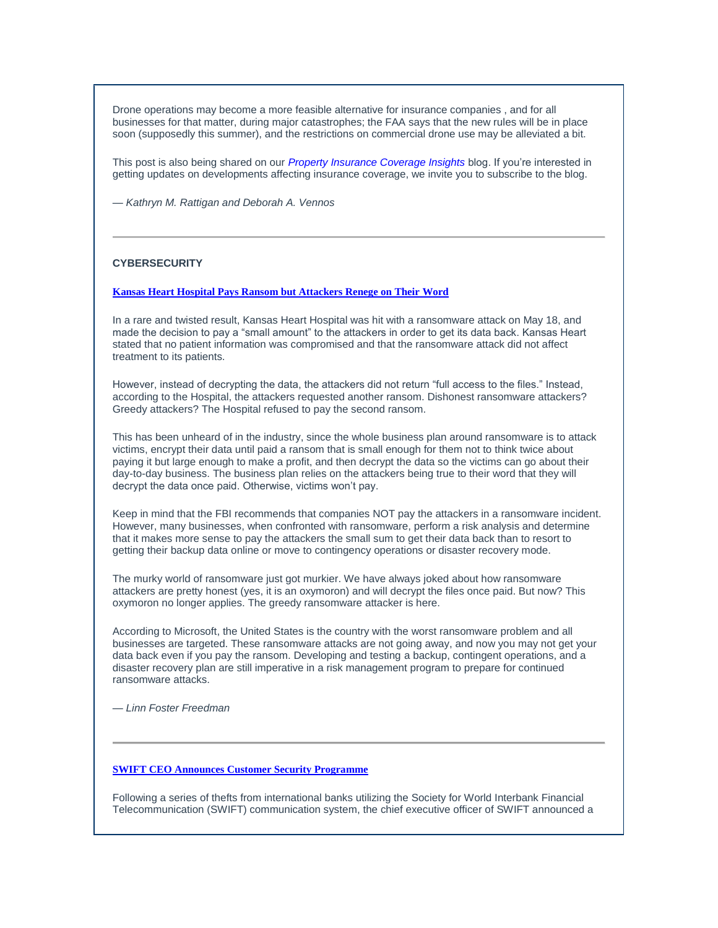Drone operations may become a more feasible alternative for insurance companies , and for all businesses for that matter, during major catastrophes; the FAA says that the new rules will be in place soon (supposedly this summer), and the restrictions on commercial drone use may be alleviated a bit.

This post is also being shared on our *[Property Insurance Coverage Insights](http://t2806904.omkt.co/track.aspx?id=402|2AD478|6F10|54A3|114A|0|1F9D|1|38E8CEF9&destination=http%3a%2f%2fwww.propertyinsurancecoverageinsights.com%2f&dchk=6F007E8A)* blog. If you're interested in getting updates on developments affecting insurance coverage, we invite you to subscribe to the blog.

*— Kathryn M. Rattigan and Deborah A. Vennos*

# **CYBERSECURITY**

### **[Kansas Heart Hospital Pays Ransom but Attackers Renege on Their Word](http://t2806904.omkt.co/track.aspx?id=402|2AD478|6F10|54A3|114A|0|1F9E|1|38E8CEF9&destination=https%3a%2f%2fwww.dataprivacyandsecurityinsider.com%2f2016%2f06%2fkansas-heart-hospital-pays-ransom-but-attackers-renege-on-their-word%2f&dchk=30EABA5F)**

In a rare and twisted result, Kansas Heart Hospital was hit with a ransomware attack on May 18, and made the decision to pay a "small amount" to the attackers in order to get its data back. Kansas Heart stated that no patient information was compromised and that the ransomware attack did not affect treatment to its patients.

However, instead of decrypting the data, the attackers did not return "full access to the files." Instead, according to the Hospital, the attackers requested another ransom. Dishonest ransomware attackers? Greedy attackers? The Hospital refused to pay the second ransom.

This has been unheard of in the industry, since the whole business plan around ransomware is to attack victims, encrypt their data until paid a ransom that is small enough for them not to think twice about paying it but large enough to make a profit, and then decrypt the data so the victims can go about their day-to-day business. The business plan relies on the attackers being true to their word that they will decrypt the data once paid. Otherwise, victims won't pay.

Keep in mind that the FBI recommends that companies NOT pay the attackers in a ransomware incident. However, many businesses, when confronted with ransomware, perform a risk analysis and determine that it makes more sense to pay the attackers the small sum to get their data back than to resort to getting their backup data online or move to contingency operations or disaster recovery mode.

The murky world of ransomware just got murkier. We have always joked about how ransomware attackers are pretty honest (yes, it is an oxymoron) and will decrypt the files once paid. But now? This oxymoron no longer applies. The greedy ransomware attacker is here.

According to Microsoft, the United States is the country with the worst ransomware problem and all businesses are targeted. These ransomware attacks are not going away, and now you may not get your data back even if you pay the ransom. Developing and testing a backup, contingent operations, and a disaster recovery plan are still imperative in a risk management program to prepare for continued ransomware attacks.

*— Linn Foster Freedman*

#### **[SWIFT CEO Announces Customer Security Programme](http://t2806904.omkt.co/track.aspx?id=402|2AD478|6F10|54A3|114A|0|1F9F|1|38E8CEF9&destination=https%3a%2f%2fwww.dataprivacyandsecurityinsider.com%2f2016%2f05%2fswift-ceo-announces-customer-security-programme%2f&dchk=273D1421)**

Following a series of thefts from international banks utilizing the Society for World Interbank Financial Telecommunication (SWIFT) communication system, the chief executive officer of SWIFT announced a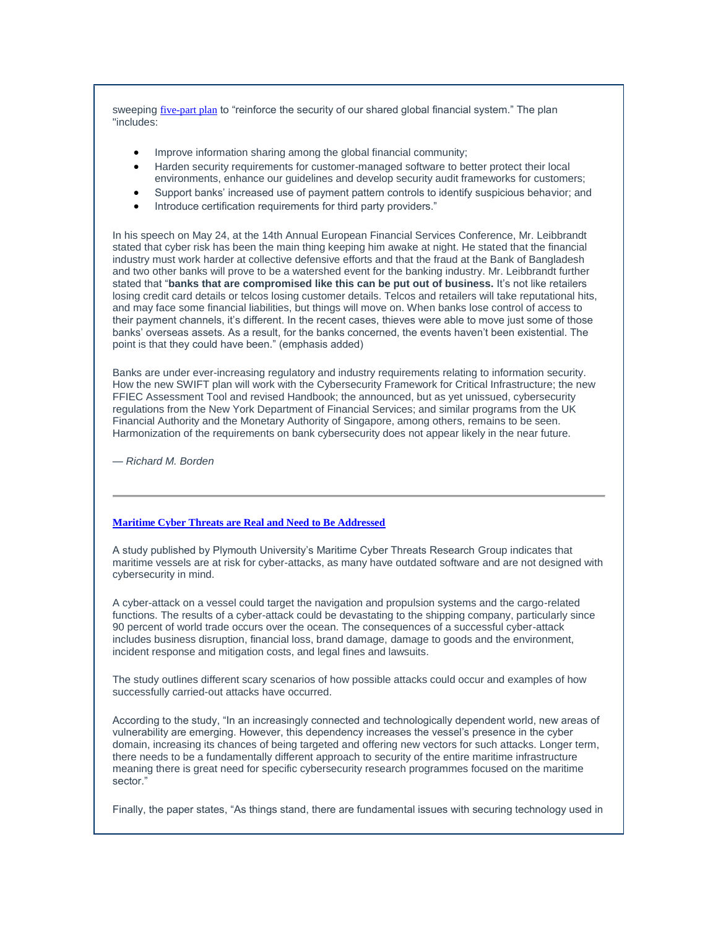sweeping [five-part plan](http://t2806904.omkt.co/track.aspx?id=402|2AD478|6F10|54A3|114A|0|1FA0|1|38E8CEF9&destination=https%3a%2f%2fwww.swift.com%2fcustomer-security-programme&dchk=743CC8F2) to "reinforce the security of our shared global financial system." The plan "includes:

- Improve information sharing among the global financial community;
- Harden security requirements for customer-managed software to better protect their local environments, enhance our guidelines and develop security audit frameworks for customers;
- Support banks' increased use of payment pattern controls to identify suspicious behavior; and
- Introduce certification requirements for third party providers."

In his speech on May 24, at the 14th Annual European Financial Services Conference, Mr. Leibbrandt stated that cyber risk has been the main thing keeping him awake at night. He stated that the financial industry must work harder at collective defensive efforts and that the fraud at the Bank of Bangladesh and two other banks will prove to be a watershed event for the banking industry. Mr. Leibbrandt further stated that "**banks that are compromised like this can be put out of business.** It's not like retailers losing credit card details or telcos losing customer details. Telcos and retailers will take reputational hits, and may face some financial liabilities, but things will move on. When banks lose control of access to their payment channels, it's different. In the recent cases, thieves were able to move just some of those banks' overseas assets. As a result, for the banks concerned, the events haven't been existential. The point is that they could have been." (emphasis added)

Banks are under ever-increasing regulatory and industry requirements relating to information security. How the new SWIFT plan will work with the Cybersecurity Framework for Critical Infrastructure; the new FFIEC Assessment Tool and revised Handbook; the announced, but as yet unissued, cybersecurity regulations from the New York Department of Financial Services; and similar programs from the UK Financial Authority and the Monetary Authority of Singapore, among others, remains to be seen. Harmonization of the requirements on bank cybersecurity does not appear likely in the near future.

*— Richard M. Borden*

## **[Maritime Cyber Threats are Real and Need to Be Addressed](http://t2806904.omkt.co/track.aspx?id=402|2AD478|6F10|54A3|114A|0|1FA1|1|38E8CEF9&destination=https%3a%2f%2fwww.dataprivacyandsecurityinsider.com%2f2016%2f06%2fmaritime-cyber-threats-are-real-and-need-to-be-addressed%2f&dchk=2F139A7B)**

A study published by Plymouth University's Maritime Cyber Threats Research Group indicates that maritime vessels are at risk for cyber-attacks, as many have outdated software and are not designed with cybersecurity in mind.

A cyber-attack on a vessel could target the navigation and propulsion systems and the cargo-related functions. The results of a cyber-attack could be devastating to the shipping company, particularly since 90 percent of world trade occurs over the ocean. The consequences of a successful cyber-attack includes business disruption, financial loss, brand damage, damage to goods and the environment, incident response and mitigation costs, and legal fines and lawsuits.

The study outlines different scary scenarios of how possible attacks could occur and examples of how successfully carried-out attacks have occurred.

According to the study, "In an increasingly connected and technologically dependent world, new areas of vulnerability are emerging. However, this dependency increases the vessel's presence in the cyber domain, increasing its chances of being targeted and offering new vectors for such attacks. Longer term, there needs to be a fundamentally different approach to security of the entire maritime infrastructure meaning there is great need for specific cybersecurity research programmes focused on the maritime sector."

Finally, the paper states, "As things stand, there are fundamental issues with securing technology used in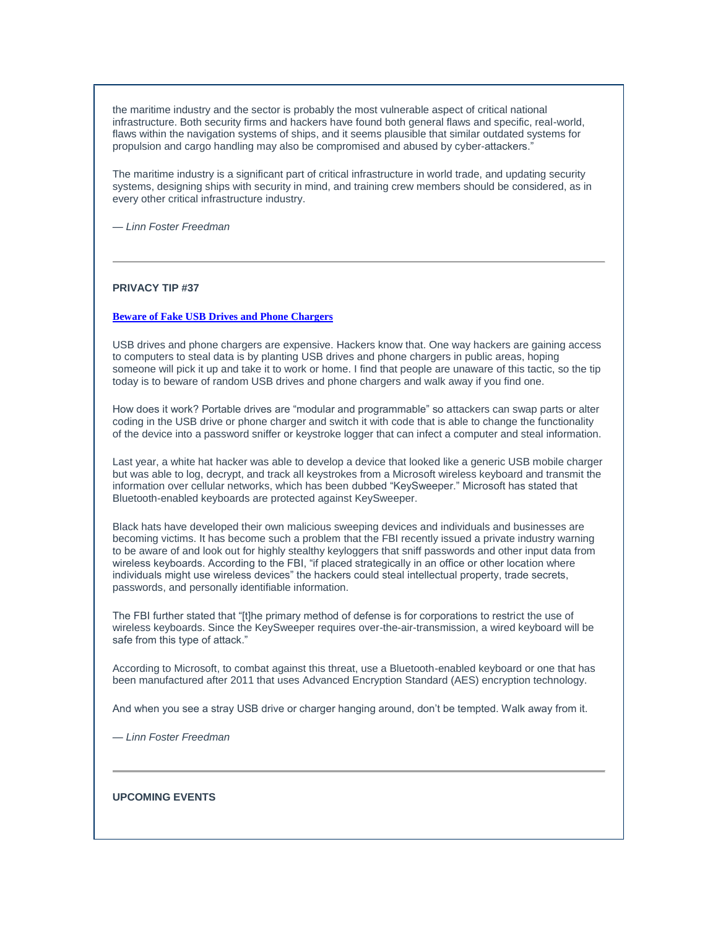the maritime industry and the sector is probably the most vulnerable aspect of critical national infrastructure. Both security firms and hackers have found both general flaws and specific, real-world, flaws within the navigation systems of ships, and it seems plausible that similar outdated systems for propulsion and cargo handling may also be compromised and abused by cyber-attackers."

The maritime industry is a significant part of critical infrastructure in world trade, and updating security systems, designing ships with security in mind, and training crew members should be considered, as in every other critical infrastructure industry.

*— Linn Foster Freedman*

# **PRIVACY TIP #37**

## **[Beware of Fake USB Drives and Phone Chargers](http://t2806904.omkt.co/track.aspx?id=402|2AD478|6F10|54A3|114A|0|1FA2|1|38E8CEF9&destination=https%3a%2f%2fwww.dataprivacyandsecurityinsider.com%2f2016%2f06%2fprivacy-tip-37-beware-of-fake-usb-drives-and-phone-chargers%2f&dchk=382878B3)**

USB drives and phone chargers are expensive. Hackers know that. One way hackers are gaining access to computers to steal data is by planting USB drives and phone chargers in public areas, hoping someone will pick it up and take it to work or home. I find that people are unaware of this tactic, so the tip today is to beware of random USB drives and phone chargers and walk away if you find one.

How does it work? Portable drives are "modular and programmable" so attackers can swap parts or alter coding in the USB drive or phone charger and switch it with code that is able to change the functionality of the device into a password sniffer or keystroke logger that can infect a computer and steal information.

Last year, a white hat hacker was able to develop a device that looked like a generic USB mobile charger but was able to log, decrypt, and track all keystrokes from a Microsoft wireless keyboard and transmit the information over cellular networks, which has been dubbed "KeySweeper." Microsoft has stated that Bluetooth-enabled keyboards are protected against KeySweeper.

Black hats have developed their own malicious sweeping devices and individuals and businesses are becoming victims. It has become such a problem that the FBI recently issued a private industry warning to be aware of and look out for highly stealthy keyloggers that sniff passwords and other input data from wireless keyboards. According to the FBI, "if placed strategically in an office or other location where individuals might use wireless devices" the hackers could steal intellectual property, trade secrets, passwords, and personally identifiable information.

The FBI further stated that "[t]he primary method of defense is for corporations to restrict the use of wireless keyboards. Since the KeySweeper requires over-the-air-transmission, a wired keyboard will be safe from this type of attack."

According to Microsoft, to combat against this threat, use a Bluetooth-enabled keyboard or one that has been manufactured after 2011 that uses Advanced Encryption Standard (AES) encryption technology.

And when you see a stray USB drive or charger hanging around, don't be tempted. Walk away from it.

*— Linn Foster Freedman*

#### **UPCOMING EVENTS**